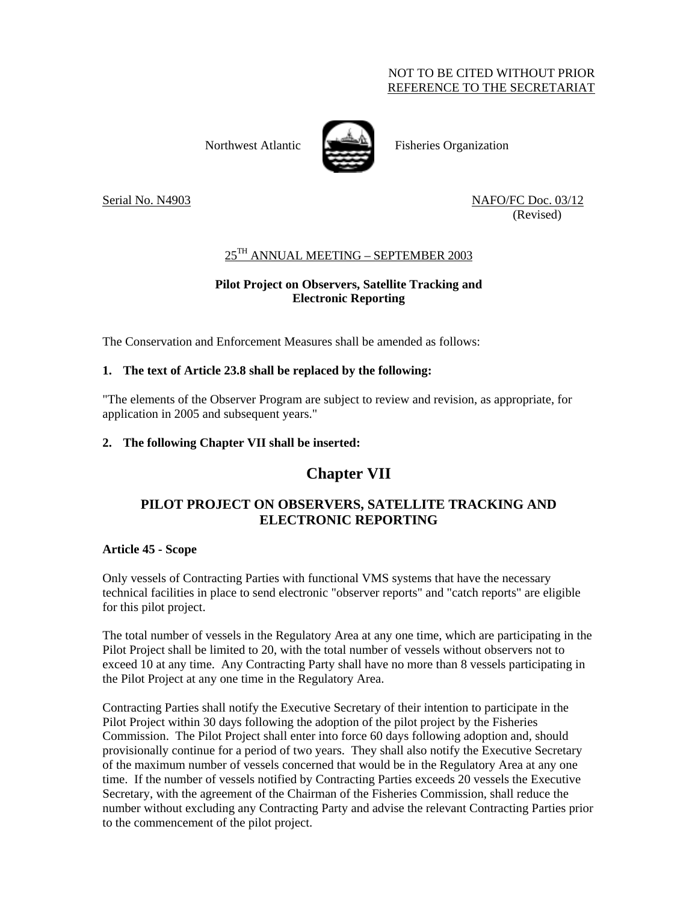### NOT TO BE CITED WITHOUT PRIOR REFERENCE TO THE SECRETARIAT



Northwest Atlantic **Fisheries** Organization

Serial No. N4903 NAFO/FC Doc. 03/12 (Revised)

# 25TH ANNUAL MEETING – SEPTEMBER 2003

### **Pilot Project on Observers, Satellite Tracking and Electronic Reporting**

The Conservation and Enforcement Measures shall be amended as follows:

### **1. The text of Article 23.8 shall be replaced by the following:**

"The elements of the Observer Program are subject to review and revision, as appropriate, for application in 2005 and subsequent years."

### **2. The following Chapter VII shall be inserted:**

# **Chapter VII**

# **PILOT PROJECT ON OBSERVERS, SATELLITE TRACKING AND ELECTRONIC REPORTING**

#### **Article 45 - Scope**

Only vessels of Contracting Parties with functional VMS systems that have the necessary technical facilities in place to send electronic "observer reports" and "catch reports" are eligible for this pilot project.

The total number of vessels in the Regulatory Area at any one time, which are participating in the Pilot Project shall be limited to 20, with the total number of vessels without observers not to exceed 10 at any time. Any Contracting Party shall have no more than 8 vessels participating in the Pilot Project at any one time in the Regulatory Area.

Contracting Parties shall notify the Executive Secretary of their intention to participate in the Pilot Project within 30 days following the adoption of the pilot project by the Fisheries Commission. The Pilot Project shall enter into force 60 days following adoption and, should provisionally continue for a period of two years. They shall also notify the Executive Secretary of the maximum number of vessels concerned that would be in the Regulatory Area at any one time. If the number of vessels notified by Contracting Parties exceeds 20 vessels the Executive Secretary, with the agreement of the Chairman of the Fisheries Commission, shall reduce the number without excluding any Contracting Party and advise the relevant Contracting Parties prior to the commencement of the pilot project.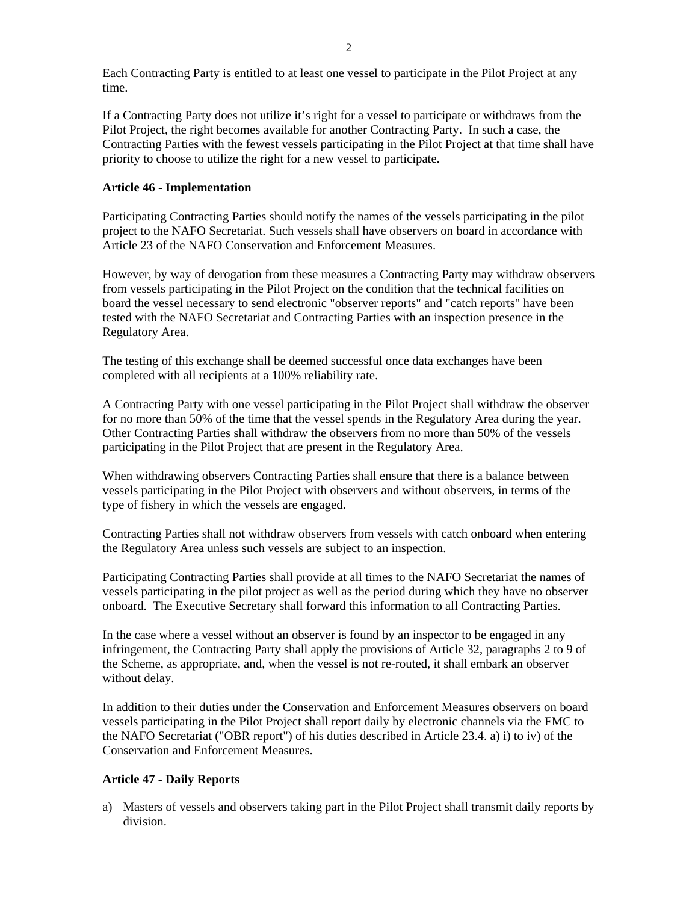If a Contracting Party does not utilize it's right for a vessel to participate or withdraws from the Pilot Project, the right becomes available for another Contracting Party. In such a case, the Contracting Parties with the fewest vessels participating in the Pilot Project at that time shall have priority to choose to utilize the right for a new vessel to participate.

### **Article 46 - Implementation**

Participating Contracting Parties should notify the names of the vessels participating in the pilot project to the NAFO Secretariat. Such vessels shall have observers on board in accordance with Article 23 of the NAFO Conservation and Enforcement Measures.

However, by way of derogation from these measures a Contracting Party may withdraw observers from vessels participating in the Pilot Project on the condition that the technical facilities on board the vessel necessary to send electronic "observer reports" and "catch reports" have been tested with the NAFO Secretariat and Contracting Parties with an inspection presence in the Regulatory Area.

The testing of this exchange shall be deemed successful once data exchanges have been completed with all recipients at a 100% reliability rate.

A Contracting Party with one vessel participating in the Pilot Project shall withdraw the observer for no more than 50% of the time that the vessel spends in the Regulatory Area during the year. Other Contracting Parties shall withdraw the observers from no more than 50% of the vessels participating in the Pilot Project that are present in the Regulatory Area.

When withdrawing observers Contracting Parties shall ensure that there is a balance between vessels participating in the Pilot Project with observers and without observers, in terms of the type of fishery in which the vessels are engaged.

Contracting Parties shall not withdraw observers from vessels with catch onboard when entering the Regulatory Area unless such vessels are subject to an inspection.

Participating Contracting Parties shall provide at all times to the NAFO Secretariat the names of vessels participating in the pilot project as well as the period during which they have no observer onboard. The Executive Secretary shall forward this information to all Contracting Parties.

In the case where a vessel without an observer is found by an inspector to be engaged in any infringement, the Contracting Party shall apply the provisions of Article 32, paragraphs 2 to 9 of the Scheme, as appropriate, and, when the vessel is not re-routed, it shall embark an observer without delay.

In addition to their duties under the Conservation and Enforcement Measures observers on board vessels participating in the Pilot Project shall report daily by electronic channels via the FMC to the NAFO Secretariat ("OBR report") of his duties described in Article 23.4. a) i) to iv) of the Conservation and Enforcement Measures.

### **Article 47 - Daily Reports**

a) Masters of vessels and observers taking part in the Pilot Project shall transmit daily reports by division.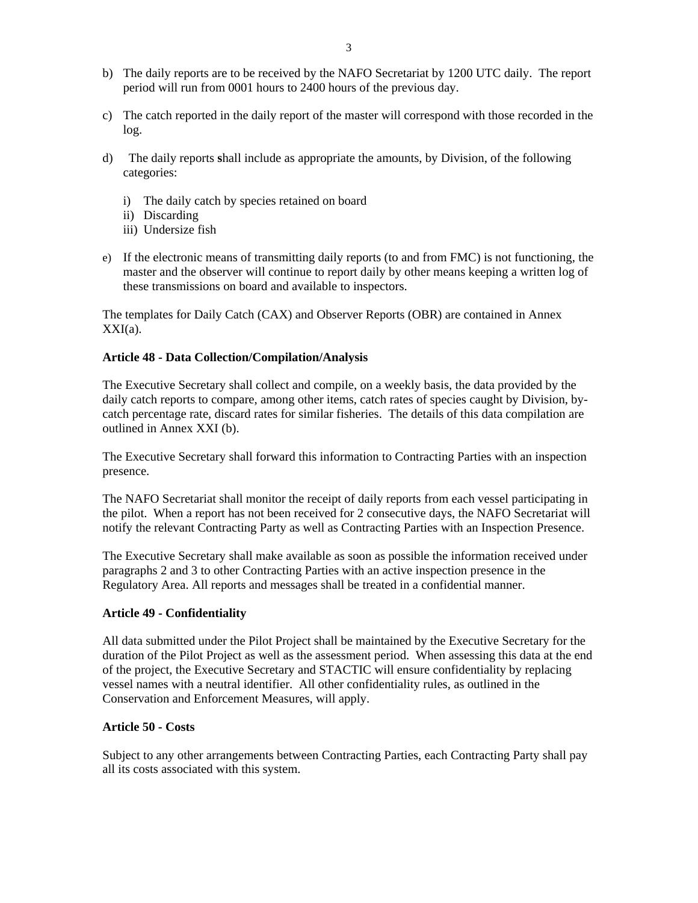- b) The daily reports are to be received by the NAFO Secretariat by 1200 UTC daily. The report period will run from 0001 hours to 2400 hours of the previous day.
- c) The catch reported in the daily report of the master will correspond with those recorded in the log.
- d) The daily reports **s**hall include as appropriate the amounts, by Division, of the following categories:
	- i) The daily catch by species retained on board
	- ii) Discarding
	- iii) Undersize fish
- e) If the electronic means of transmitting daily reports (to and from FMC) is not functioning, the master and the observer will continue to report daily by other means keeping a written log of these transmissions on board and available to inspectors.

The templates for Daily Catch (CAX) and Observer Reports (OBR) are contained in Annex  $XXI(a)$ .

#### **Article 48 - Data Collection/Compilation/Analysis**

The Executive Secretary shall collect and compile, on a weekly basis, the data provided by the daily catch reports to compare, among other items, catch rates of species caught by Division, bycatch percentage rate, discard rates for similar fisheries. The details of this data compilation are outlined in Annex XXI (b).

The Executive Secretary shall forward this information to Contracting Parties with an inspection presence.

The NAFO Secretariat shall monitor the receipt of daily reports from each vessel participating in the pilot. When a report has not been received for 2 consecutive days, the NAFO Secretariat will notify the relevant Contracting Party as well as Contracting Parties with an Inspection Presence.

The Executive Secretary shall make available as soon as possible the information received under paragraphs 2 and 3 to other Contracting Parties with an active inspection presence in the Regulatory Area. All reports and messages shall be treated in a confidential manner.

#### **Article 49 - Confidentiality**

All data submitted under the Pilot Project shall be maintained by the Executive Secretary for the duration of the Pilot Project as well as the assessment period. When assessing this data at the end of the project, the Executive Secretary and STACTIC will ensure confidentiality by replacing vessel names with a neutral identifier. All other confidentiality rules, as outlined in the Conservation and Enforcement Measures, will apply.

#### **Article 50 - Costs**

Subject to any other arrangements between Contracting Parties, each Contracting Party shall pay all its costs associated with this system.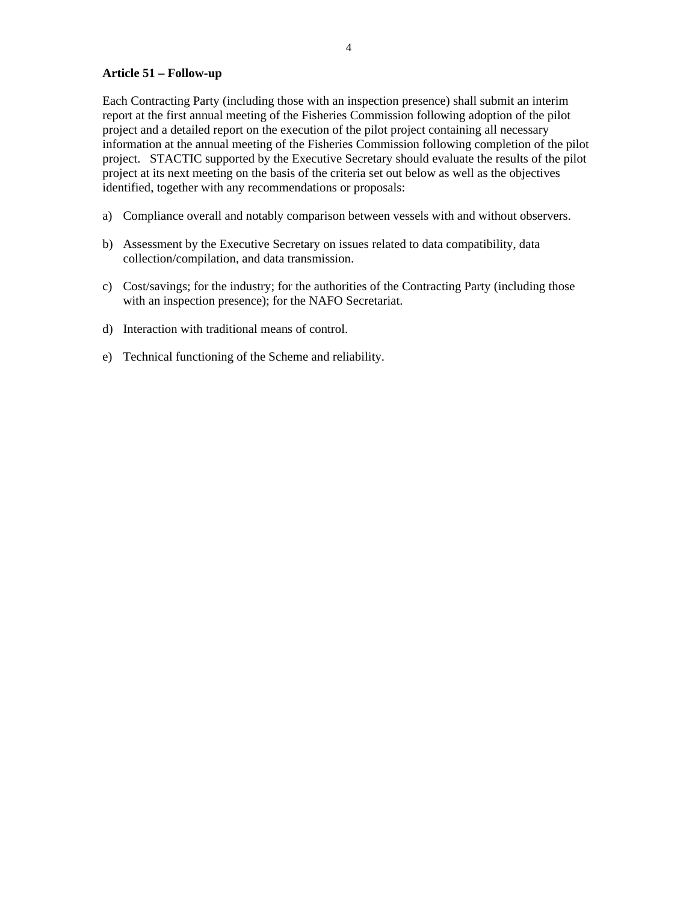#### **Article 51 – Follow-up**

Each Contracting Party (including those with an inspection presence) shall submit an interim report at the first annual meeting of the Fisheries Commission following adoption of the pilot project and a detailed report on the execution of the pilot project containing all necessary information at the annual meeting of the Fisheries Commission following completion of the pilot project. STACTIC supported by the Executive Secretary should evaluate the results of the pilot project at its next meeting on the basis of the criteria set out below as well as the objectives identified, together with any recommendations or proposals:

- a) Compliance overall and notably comparison between vessels with and without observers.
- b) Assessment by the Executive Secretary on issues related to data compatibility, data collection/compilation, and data transmission.
- c) Cost/savings; for the industry; for the authorities of the Contracting Party (including those with an inspection presence); for the NAFO Secretariat.
- d) Interaction with traditional means of control.
- e) Technical functioning of the Scheme and reliability.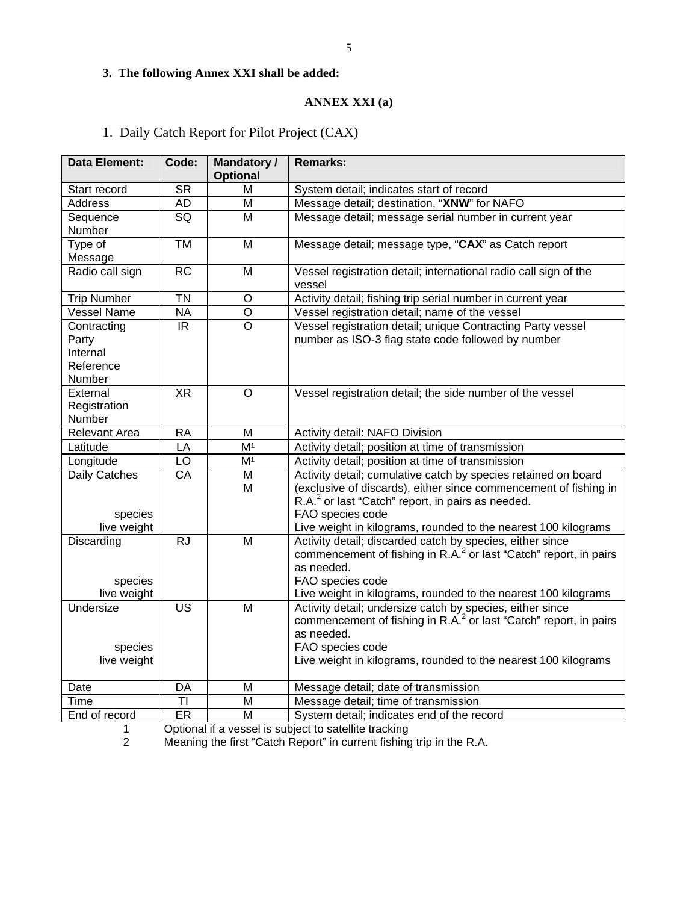# **3. The following Annex XXI shall be added:**

## **ANNEX XXI (a)**

# 1. Daily Catch Report for Pilot Project (CAX)

| <b>Data Element:</b>                                    | Code:     | <b>Mandatory /</b><br><b>Optional</b> | <b>Remarks:</b>                                                                                                                                                                                                                                |  |  |
|---------------------------------------------------------|-----------|---------------------------------------|------------------------------------------------------------------------------------------------------------------------------------------------------------------------------------------------------------------------------------------------|--|--|
| Start record                                            | <b>SR</b> | М                                     | System detail; indicates start of record                                                                                                                                                                                                       |  |  |
| <b>Address</b>                                          | AD        | M                                     | Message detail; destination, "XNW" for NAFO                                                                                                                                                                                                    |  |  |
| Sequence                                                | SQ        | M                                     | Message detail; message serial number in current year                                                                                                                                                                                          |  |  |
| Number                                                  |           |                                       |                                                                                                                                                                                                                                                |  |  |
| Type of                                                 | <b>TM</b> | M                                     | Message detail; message type, "CAX" as Catch report                                                                                                                                                                                            |  |  |
| Message                                                 |           |                                       |                                                                                                                                                                                                                                                |  |  |
| Radio call sign                                         | <b>RC</b> | M                                     | Vessel registration detail; international radio call sign of the<br>vessel                                                                                                                                                                     |  |  |
| <b>Trip Number</b>                                      | <b>TN</b> | $\circ$                               | Activity detail; fishing trip serial number in current year                                                                                                                                                                                    |  |  |
| <b>Vessel Name</b>                                      | <b>NA</b> | $\circ$                               | Vessel registration detail; name of the vessel                                                                                                                                                                                                 |  |  |
| Contracting<br>Party<br>Internal<br>Reference<br>Number | IR.       | $\Omega$                              | Vessel registration detail; unique Contracting Party vessel<br>number as ISO-3 flag state code followed by number                                                                                                                              |  |  |
| External<br>Registration<br>Number                      | <b>XR</b> | $\circ$                               | Vessel registration detail; the side number of the vessel                                                                                                                                                                                      |  |  |
| <b>Relevant Area</b>                                    | <b>RA</b> | M                                     | Activity detail: NAFO Division                                                                                                                                                                                                                 |  |  |
| Latitude                                                | LA        | M <sup>1</sup>                        | Activity detail; position at time of transmission                                                                                                                                                                                              |  |  |
| Longitude                                               | LO        | M <sup>1</sup>                        | Activity detail; position at time of transmission                                                                                                                                                                                              |  |  |
| Daily Catches                                           | CA        | M                                     | Activity detail; cumulative catch by species retained on board                                                                                                                                                                                 |  |  |
| species<br>live weight                                  |           | M                                     | (exclusive of discards), either since commencement of fishing in<br>R.A. <sup>2</sup> or last "Catch" report, in pairs as needed.<br>FAO species code<br>Live weight in kilograms, rounded to the nearest 100 kilograms                        |  |  |
| Discarding<br>species<br>live weight                    | <b>RJ</b> | M                                     | Activity detail; discarded catch by species, either since<br>commencement of fishing in R.A. <sup>2</sup> or last "Catch" report, in pairs<br>as needed.<br>FAO species code<br>Live weight in kilograms, rounded to the nearest 100 kilograms |  |  |
| Undersize<br>species<br>live weight                     | <b>US</b> | M                                     | Activity detail; undersize catch by species, either since<br>commencement of fishing in R.A. <sup>2</sup> or last "Catch" report, in pairs<br>as needed.<br>FAO species code<br>Live weight in kilograms, rounded to the nearest 100 kilograms |  |  |
| Date                                                    | DA        | M                                     | Message detail; date of transmission                                                                                                                                                                                                           |  |  |
| Time                                                    | ΤI        | M                                     | Message detail; time of transmission                                                                                                                                                                                                           |  |  |
| End of record                                           | ER        | M                                     | System detail; indicates end of the record                                                                                                                                                                                                     |  |  |

1 Optional if a vessel is subject to satellite tracking<br>2 Meaning the first "Catch Report" in current fishing

2 Meaning the first "Catch Report" in current fishing trip in the R.A.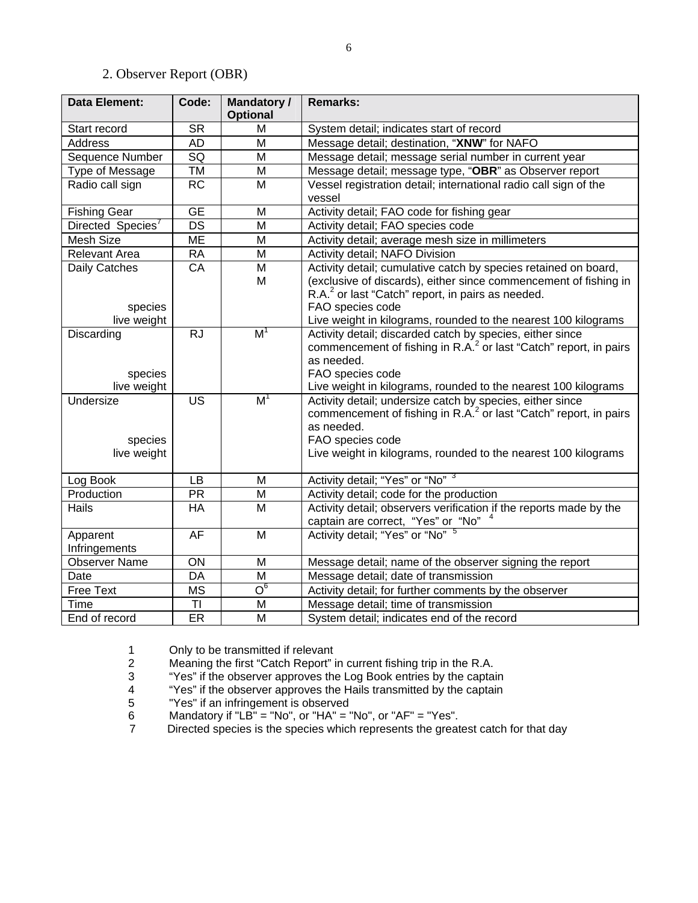# 2. Observer Report (OBR)

| <b>Data Element:</b>                | Code:                               | <b>Mandatory /</b><br><b>Optional</b> | <b>Remarks:</b>                                                                                                                                                                                                                                |  |  |
|-------------------------------------|-------------------------------------|---------------------------------------|------------------------------------------------------------------------------------------------------------------------------------------------------------------------------------------------------------------------------------------------|--|--|
| Start record                        | <b>SR</b>                           | M                                     | System detail; indicates start of record                                                                                                                                                                                                       |  |  |
| <b>Address</b>                      | <b>AD</b>                           | M                                     | Message detail; destination, "XNW" for NAFO                                                                                                                                                                                                    |  |  |
| Sequence Number                     | $\overline{SQ}$                     | $\overline{\mathsf{M}}$               | Message detail; message serial number in current year                                                                                                                                                                                          |  |  |
| Type of Message                     | <b>TM</b>                           | $\overline{\mathsf{M}}$               | Message detail; message type, "OBR" as Observer report                                                                                                                                                                                         |  |  |
| Radio call sign                     | <b>RC</b>                           | M                                     | Vessel registration detail; international radio call sign of the<br>vessel                                                                                                                                                                     |  |  |
| <b>Fishing Gear</b>                 | $\overline{\overline{\mathsf{GE}}}$ | M                                     | Activity detail; FAO code for fishing gear                                                                                                                                                                                                     |  |  |
| Directed Species <sup>7</sup>       | DS                                  | M                                     | Activity detail; FAO species code                                                                                                                                                                                                              |  |  |
| Mesh Size                           | ME                                  | M                                     | Activity detail; average mesh size in millimeters                                                                                                                                                                                              |  |  |
| <b>Relevant Area</b>                | <b>RA</b>                           | M                                     | Activity detail; NAFO Division                                                                                                                                                                                                                 |  |  |
| Daily Catches<br>species            | CA                                  | M<br>M                                | Activity detail; cumulative catch by species retained on board,<br>(exclusive of discards), either since commencement of fishing in<br>R.A. <sup>2</sup> or last "Catch" report, in pairs as needed.<br>FAO species code                       |  |  |
| live weight                         |                                     |                                       | Live weight in kilograms, rounded to the nearest 100 kilograms                                                                                                                                                                                 |  |  |
| Discarding                          | <b>RJ</b>                           | M <sup>1</sup>                        | Activity detail; discarded catch by species, either since<br>commencement of fishing in R.A. <sup>2</sup> or last "Catch" report, in pairs<br>as needed.                                                                                       |  |  |
| species                             |                                     |                                       | FAO species code                                                                                                                                                                                                                               |  |  |
| live weight                         |                                     |                                       | Live weight in kilograms, rounded to the nearest 100 kilograms                                                                                                                                                                                 |  |  |
| Undersize<br>species<br>live weight | $\overline{\mathsf{US}}$            | M <sup>1</sup>                        | Activity detail; undersize catch by species, either since<br>commencement of fishing in R.A. <sup>2</sup> or last "Catch" report, in pairs<br>as needed.<br>FAO species code<br>Live weight in kilograms, rounded to the nearest 100 kilograms |  |  |
| Log Book                            | LB                                  | M                                     | Activity detail; "Yes" or "No" 3                                                                                                                                                                                                               |  |  |
| Production                          | <b>PR</b>                           | M                                     | Activity detail; code for the production                                                                                                                                                                                                       |  |  |
| Hails                               | HA                                  | M                                     | Activity detail; observers verification if the reports made by the<br>captain are correct, "Yes" or "No"                                                                                                                                       |  |  |
| Apparent<br>Infringements           | AF                                  | M                                     | Activity detail; "Yes" or "No" 5                                                                                                                                                                                                               |  |  |
| <b>Observer Name</b>                | ON                                  | M                                     | Message detail; name of the observer signing the report                                                                                                                                                                                        |  |  |
| Date                                | DA                                  | M                                     | Message detail; date of transmission                                                                                                                                                                                                           |  |  |
| <b>Free Text</b>                    | <b>MS</b>                           | $\overline{O}_e$                      | Activity detail; for further comments by the observer                                                                                                                                                                                          |  |  |
| Time                                | TI                                  | M                                     | Message detail; time of transmission                                                                                                                                                                                                           |  |  |
| End of record                       | ER                                  | M                                     | System detail; indicates end of the record                                                                                                                                                                                                     |  |  |

1 Only to be transmitted if relevant

2 Meaning the first "Catch Report" in current fishing trip in the R.A.<br>
"Yes" if the observer approves the Log Book entries by the captai<br>
"Yes" if the observer approves the Hails transmitted by the captai

3 "Yes" if the observer approves the Log Book entries by the captain

4 "Yes" if the observer approves the Hails transmitted by the captain

5 "Yes" if an infringement is observed<br>6 Mandatory if "LB" = "No", or "HA" = "<br>7 Directed species is the species which 6 Mandatory if "LB" = "No", or "HA" = "No", or "AF" = "Yes".

7 Directed species is the species which represents the greatest catch for that day